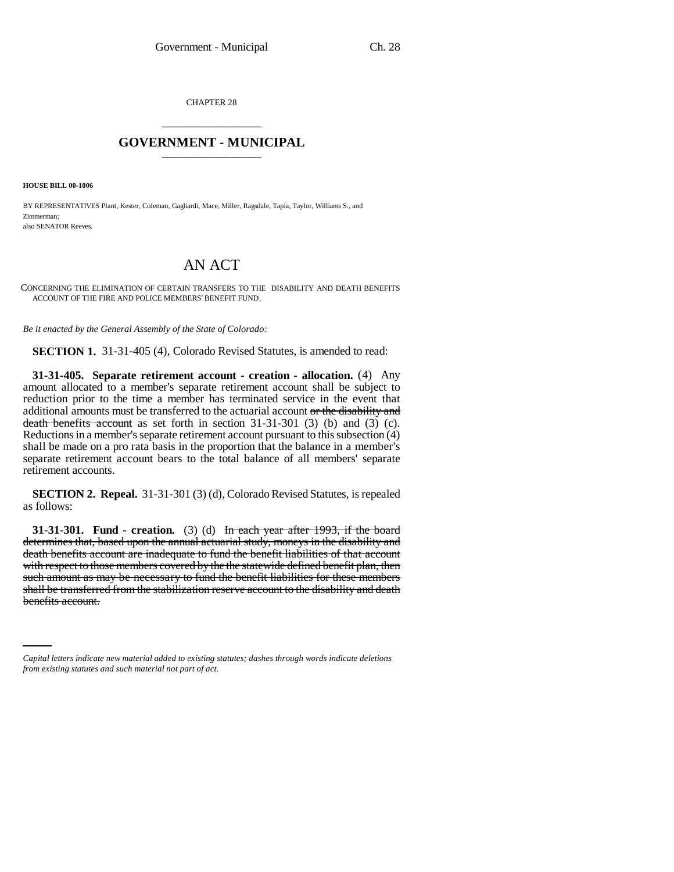CHAPTER 28 \_\_\_\_\_\_\_\_\_\_\_\_\_\_\_

## **GOVERNMENT - MUNICIPAL** \_\_\_\_\_\_\_\_\_\_\_\_\_\_\_

**HOUSE BILL 00-1006** 

BY REPRESENTATIVES Plant, Kester, Coleman, Gagliardi, Mace, Miller, Ragsdale, Tapia, Taylor, Williams S., and Zimmerman; also SENATOR Reeves.

## AN ACT

CONCERNING THE ELIMINATION OF CERTAIN TRANSFERS TO THE DISABILITY AND DEATH BENEFITS ACCOUNT OF THE FIRE AND POLICE MEMBERS' BENEFIT FUND.

*Be it enacted by the General Assembly of the State of Colorado:*

**SECTION 1.** 31-31-405 (4), Colorado Revised Statutes, is amended to read:

**31-31-405. Separate retirement account - creation - allocation.** (4) Any amount allocated to a member's separate retirement account shall be subject to reduction prior to the time a member has terminated service in the event that additional amounts must be transferred to the actuarial account or the disability and death benefits account as set forth in section 31-31-301 (3) (b) and (3) (c). Reductions in a member's separate retirement account pursuant to this subsection (4) shall be made on a pro rata basis in the proportion that the balance in a member's separate retirement account bears to the total balance of all members' separate retirement accounts.

**SECTION 2. Repeal.** 31-31-301 (3) (d), Colorado Revised Statutes, is repealed as follows:

shall be transferred from the stabilization reserve account to the disability and death **31-31-301.** Fund - creation. (3) (d) In each year after 1993, if the board determines that, based upon the annual actuarial study, moneys in the disability and death benefits account are inadequate to fund the benefit liabilities of that account with respect to those members covered by the the statewide defined benefit plan, then such amount as may be necessary to fund the benefit liabilities for these members benefits account.

*Capital letters indicate new material added to existing statutes; dashes through words indicate deletions from existing statutes and such material not part of act.*